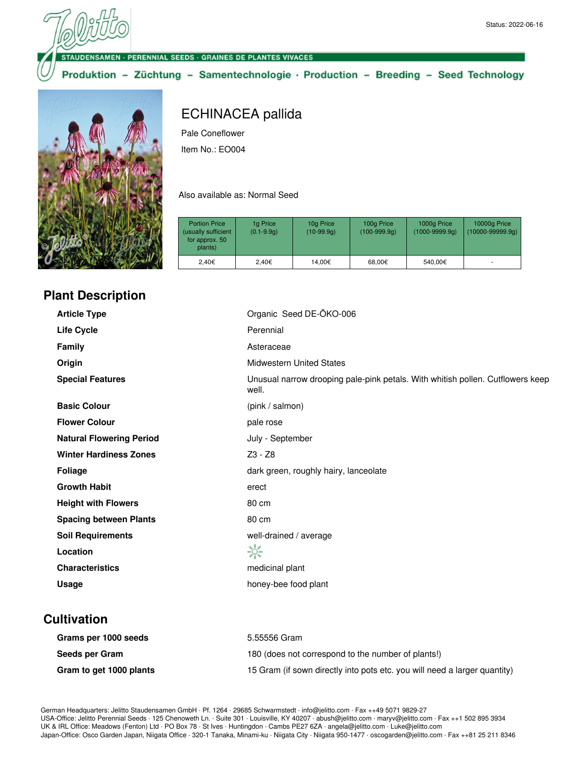ENSAMEN · PERENNIAL SEEDS · GRAINES DE PLANTES VIVACES

Produktion - Züchtung - Samentechnologie · Production - Breeding - Seed Technology



# ECHINACEA pallida

Pale Coneflower

Item No.: EO004

Also available as: Normal Seed

| <b>Portion Price</b><br>(usually sufficient<br>for approx. 50<br>plants) | 1g Price<br>$(0.1 - 9.9q)$ | 10g Price<br>$(10-99.9q)$ | 100g Price<br>$(100-999.9q)$ | 1000g Price<br>$(1000 - 9999.9q)$ | 10000g Price<br>$(10000-99999.9q)$ |
|--------------------------------------------------------------------------|----------------------------|---------------------------|------------------------------|-----------------------------------|------------------------------------|
| 2.40€                                                                    | 2.40€                      | 14.00€                    | 68,00€                       | 540.00€                           |                                    |

## **Plant Description**

| <b>Article Type</b>             | Organic Seed DE-ÖKO-006                                                                 |
|---------------------------------|-----------------------------------------------------------------------------------------|
| <b>Life Cycle</b>               | Perennial                                                                               |
| <b>Family</b>                   | Asteraceae                                                                              |
| Origin                          | <b>Midwestern United States</b>                                                         |
| <b>Special Features</b>         | Unusual narrow drooping pale-pink petals. With whitish pollen. Cutflowers keep<br>well. |
| <b>Basic Colour</b>             | (pink / salmon)                                                                         |
| <b>Flower Colour</b>            | pale rose                                                                               |
| <b>Natural Flowering Period</b> | July - September                                                                        |
| <b>Winter Hardiness Zones</b>   | Z3 - Z8                                                                                 |
| <b>Foliage</b>                  | dark green, roughly hairy, lanceolate                                                   |
| <b>Growth Habit</b>             | erect                                                                                   |
| <b>Height with Flowers</b>      | 80 cm                                                                                   |
| <b>Spacing between Plants</b>   | 80 cm                                                                                   |
| <b>Soil Requirements</b>        | well-drained / average                                                                  |
| Location                        | ☆                                                                                       |
| <b>Characteristics</b>          | medicinal plant                                                                         |
| Usage                           | honey-bee food plant                                                                    |

#### **Cultivation**

| Grams per 1000 seeds    | 5.55556 Gram                                                              |
|-------------------------|---------------------------------------------------------------------------|
| Seeds per Gram          | 180 (does not correspond to the number of plants!)                        |
| Gram to get 1000 plants | 15 Gram (if sown directly into pots etc. you will need a larger quantity) |